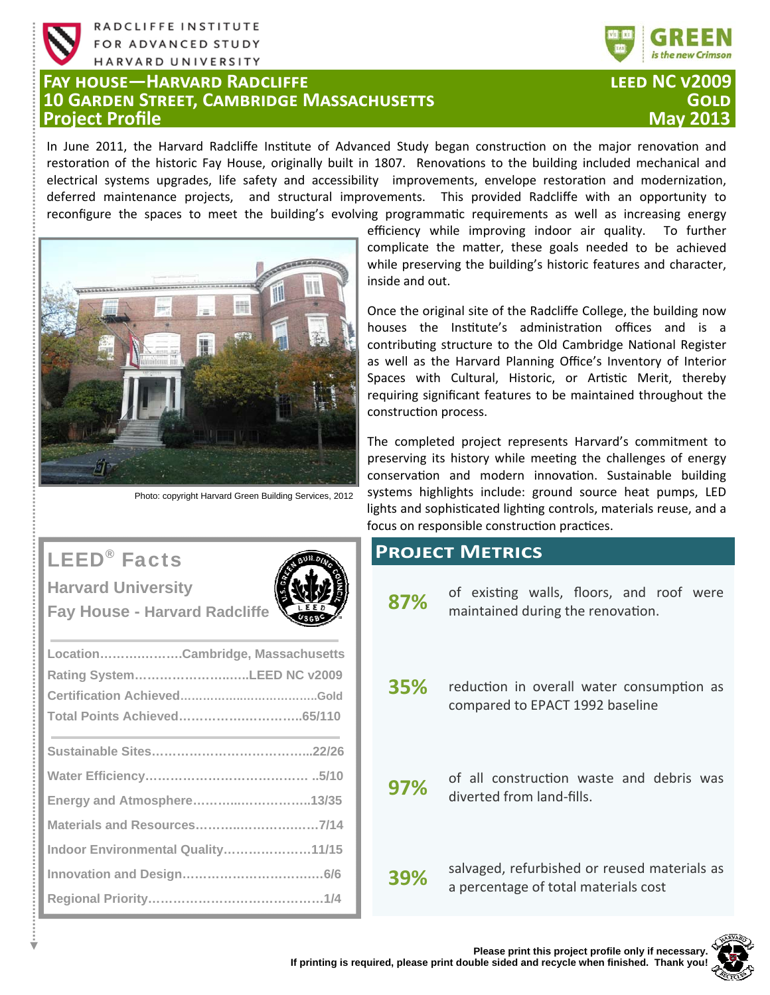

RADCLIFFE INSTITUTE FOR ADVANCED STUDY HARVARD UNIVERSITY

## **FAY HOUSE-HARVARD RADCLIFFE 10 GARDEN STREET, CAMBRIDGE MASSACHUSETTS Project Profile**



## **LEED NC V2009** GOI D

In June 2011, the Harvard Radcliffe Institute of Advanced Study began construction on the major renovation and restoration of the historic Fay House, originally built in 1807. Renovations to the building included mechanical and electrical systems upgrades, life safety and accessibility improvements, envelope restoration and modernization, deferred maintenance projects, and structural improvements. This provided Radcliffe with an opportunity to reconfigure the spaces to meet the building's evolving programmatic requirements as well as increasing energy



Photo: copyright Harvard Green Building Services, 2012

efficiency while improving indoor air quality. To further complicate the matter, these goals needed to be achieved while preserving the building's historic features and character, inside and out.

Once the original site of the Radcliffe College, the building now houses the Institute's administration offices and is a contributing structure to the Old Cambridge National Register as well as the Harvard Planning Office's Inventory of Interior Spaces with Cultural, Historic, or Artistic Merit, thereby requiring significant features to be maintained throughout the construction process.

The completed project represents Harvard's commitment to preserving its history while meeting the challenges of energy conservation and modern innovation. Sustainable building systems highlights include: ground source heat pumps, LED lights and sophisticated lighting controls, materials reuse, and a focus on responsible construction practices.

## **PROJECT METRICS**

- of existing walls, floors, and roof were 87% maintained during the renovation.
- 35% reduction in overall water consumption as compared to EPACT 1992 baseline
- of all construction waste and debris was 97% diverted from land-fills.

salvaged, refurbished or reused materials as 39% a percentage of total materials cost



# **LEED<sup>®</sup>** Facts



**Harvard University Fay House - Harvard Radcliffe** 

| LocationCambridge, Massachusetts  |  |
|-----------------------------------|--|
| Rating SystemLEED NC v2009        |  |
|                                   |  |
|                                   |  |
|                                   |  |
|                                   |  |
| Energy and Atmosphere13/35        |  |
|                                   |  |
| Indoor Environmental Quality11/15 |  |
|                                   |  |
|                                   |  |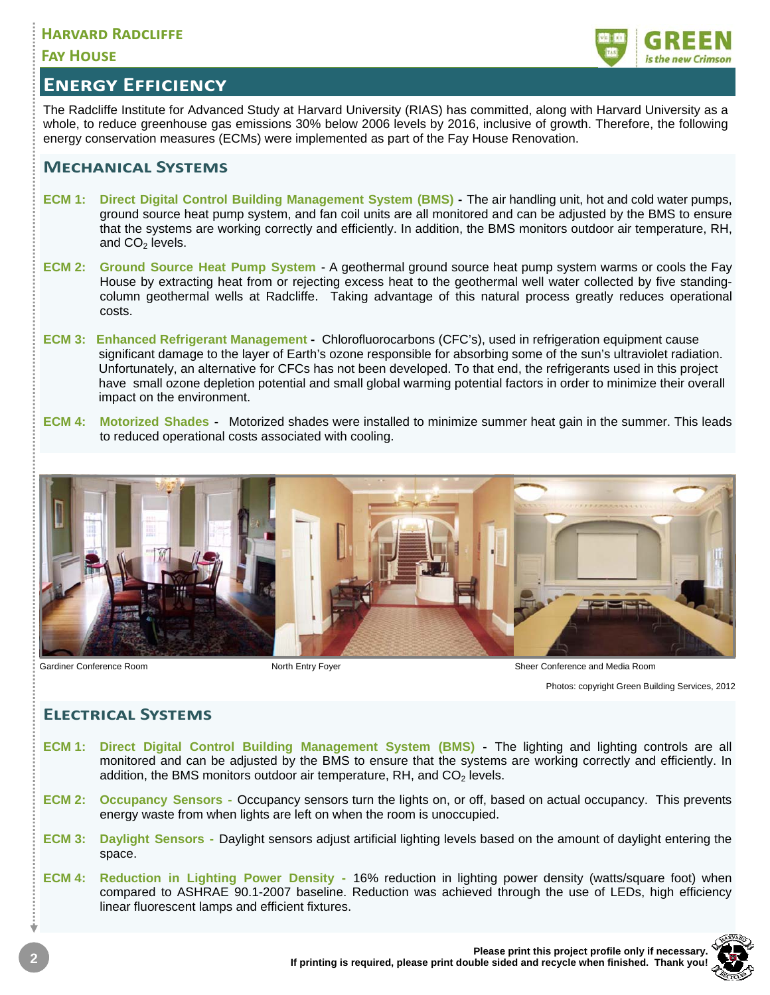## **HARVARD RADCLIFFE**

## **FAY HOUSE**



## **ENERGY EFFICIENCY**

The Radcliffe Institute for Advanced Study at Harvard University (RIAS) has committed, along with Harvard University as a whole, to reduce greenhouse gas emissions 30% below 2006 levels by 2016, inclusive of growth. Therefore, the following energy conservation measures (ECMs) were implemented as part of the Fay House Renovation.

## **MECHANICAL SYSTEMS**

- **ECM 1: Direct Digital Control Building Management System (BMS)** The air handling unit, hot and cold water pumps, ground source heat pump system, and fan coil units are all monitored and can be adjusted by the BMS to ensure that the systems are working correctly and efficiently. In addition, the BMS monitors outdoor air temperature, RH, and  $CO<sub>2</sub>$  levels.
- **ECM 2: Ground Source Heat Pump System**  A geothermal ground source heat pump system warms or cools the Fay House by extracting heat from or rejecting excess heat to the geothermal well water collected by five standingcolumn geothermal wells at Radcliffe. Taking advantage of this natural process greatly reduces operational costs.
- **ECM 3: Enhanced Refrigerant Management** Chlorofluorocarbons (CFC's), used in refrigeration equipment cause significant damage to the layer of Earth's ozone responsible for absorbing some of the sun's ultraviolet radiation. Unfortunately, an alternative for CFCs has not been developed. To that end, the refrigerants used in this project have small ozone depletion potential and small global warming potential factors in order to minimize their overall impact on the environment.
- **ECM 4: Motorized Shades** Motorized shades were installed to minimize summer heat gain in the summer. This leads to reduced operational costs associated with cooling.



Gardiner Conference Room **North Entry Foyer** Sheer Conference and Media Room North Entry Foyer Sheer Conference and Media Room

Photos: copyright Green Building Services, 2012

## **ELECTRICAL SYSTEMS**

- **ECM 1: Direct Digital Control Building Management System (BMS)** The lighting and lighting controls are all monitored and can be adjusted by the BMS to ensure that the systems are working correctly and efficiently. In addition, the BMS monitors outdoor air temperature,  $RH$ , and  $CO<sub>2</sub>$  levels.
- **ECM 2: Occupancy Sensors** Occupancy sensors turn the lights on, or off, based on actual occupancy. This prevents energy waste from when lights are left on when the room is unoccupied.
- **ECM 3: Daylight Sensors** Daylight sensors adjust artificial lighting levels based on the amount of daylight entering the space.
- **ECM 4: Reduction in Lighting Power Density** 16% reduction in lighting power density (watts/square foot) when compared to ASHRAE 90.1-2007 baseline. Reduction was achieved through the use of LEDs, high efficiency linear fluorescent lamps and efficient fixtures.

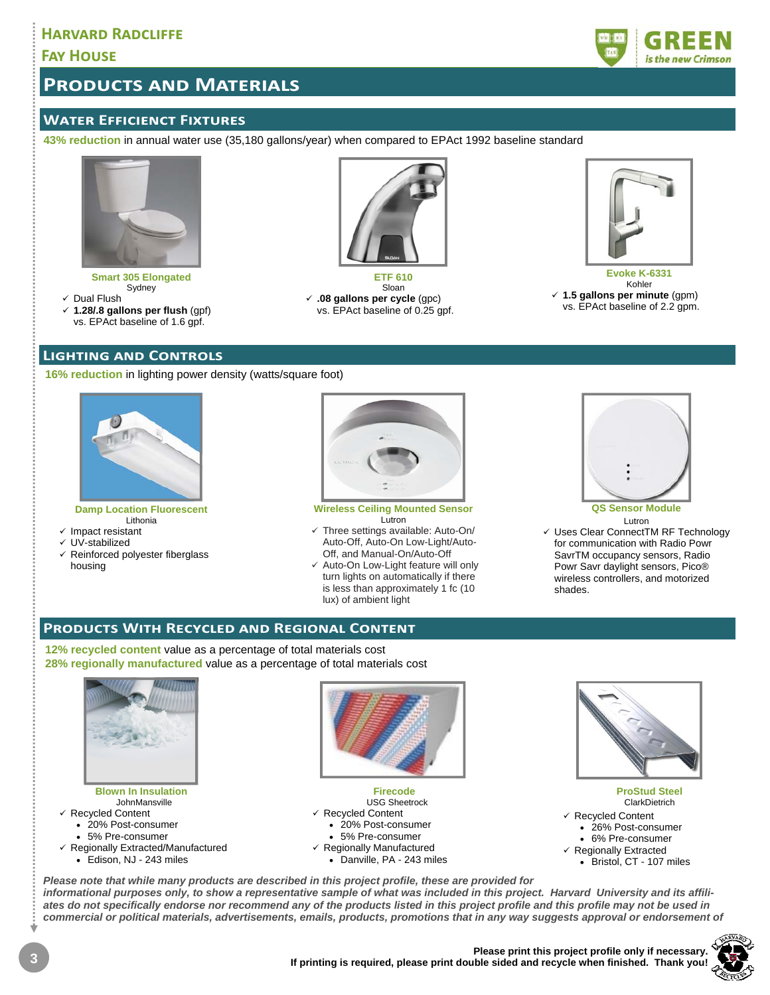## **HARVARD RADCLIFFE**

## **FAY HOUSE**

## **PRODUCTS AND MATERIALS**

## **WATER EFFICIENCT FIXTURES**

**43% reduction** in annual water use (35,180 gallons/year) when compared to EPAct 1992 baseline standard



**Smart 305 Elongated**  Sydney

- $\checkmark$  Dual Flush
- **1.28/.8 gallons per flush** (gpf) vs. EPAct baseline of 1.6 gpf.

#### **LIGHTING AND CONTROLS**

**16% reduction** in lighting power density (watts/square foot)



#### **Damp Location Fluorescent**  Lithonia

- $\checkmark$  Impact resistant
- UV-stabilized
- $\checkmark$  Reinforced polyester fiberglass housing



**ETF 610**  Sloan **.08 gallons per cycle** (gpc) vs. EPAct baseline of 0.25 gpf.

**Wireless Ceiling Mounted Sensor**  Lutron

- $\checkmark$  Three settings available: Auto-On/ Auto-Off, Auto-On Low-Light/Auto-Off, and Manual-On/Auto-Off
- $\checkmark$  Auto-On Low-Light feature will only turn lights on automatically if there is less than approximately 1 fc (10 lux) of ambient light



Kohler **1.5 gallons per minute** (gpm) vs. EPAct baseline of 2.2 gpm.

# **QS Sensor Module**

Lutron Uses Clear ConnectTM RF Technology for communication with Radio Powr SavrTM occupancy sensors, Radio Powr Savr daylight sensors, Pico® wireless controllers, and motorized shades.

## **PRODUCTS WITH RECYCLED AND REGIONAL CONTENT**

**12% recycled content** value as a percentage of total materials cost **28% regionally manufactured** value as a percentage of total materials cost



#### **Blown In Insulation**  JohnMansville  $\checkmark$  Recycled Content 20% Post-consumer

- 5% Pre-consumer
- $\checkmark$  Regionally Extracted/Manufactured
	- Edison, NJ 243 miles



**Firecode**  USG Sheetrock Recycled Content 20% Post-consumer 5% Pre-consumer  $\checkmark$  Regionally Manufactured Danville, PA - 243 miles



**ProStud Steel ClarkDietrich** Recycled Content 26% Post-consumer 6% Pre-consumer  $\checkmark$  Regionally Extracted

Bristol, CT - 107 miles

*Please note that while many products are described in this project profile, these are provided for informational purposes only, to show a representative sample of what was included in this project. Harvard University and its affili-*

*ates do not specifically endorse nor recommend any of the products listed in this project profile and this profile may not be used in commercial or political materials, advertisements, emails, products, promotions that in any way suggests approval or endorsement of* 



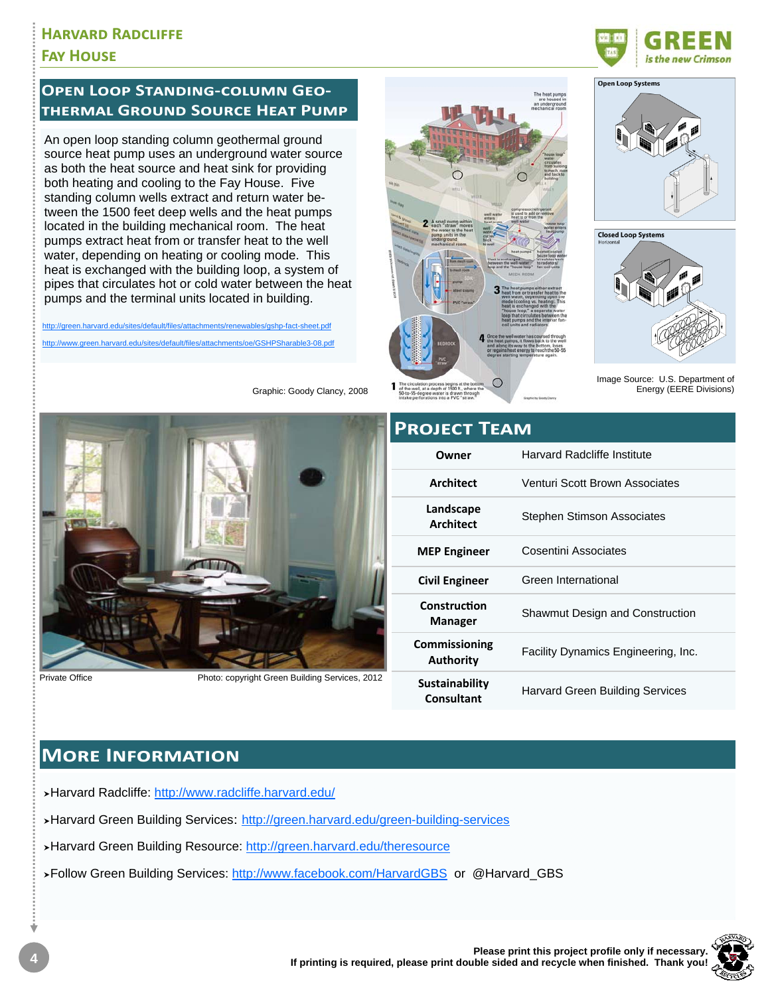## **HARVARD RADCLIFFE FAY HOUSE**

## **OPEN LOOP STANDING-COLUMN GEO-THERMAL GROUND SOURCE HEAT PUMP**

An open loop standing column geothermal ground source heat pump uses an underground water source as both the heat source and heat sink for providing both heating and cooling to the Fay House. Five standing column wells extract and return water between the 1500 feet deep wells and the heat pumps located in the building mechanical room. The heat pumps extract heat from or transfer heat to the well water, depending on heating or cooling mode. This heat is exchanged with the building loop, a system of pipes that circulates hot or cold water between the heat pumps and the terminal units located in building.

http://green.harvard.edu/sites/default/files/attachments/renewables/gshp-fact-sheet.pdf http://www.green.harvard.edu/sites/default/files/attachments/oe/GSHPSharable3-08.odf



Private Office

Photo: copyright Green Building Services, 2012

Graphic: Goody Clancy, 2008





**Open Loop Systems** 





Image Source: U.S. Department of Energy (EERE Divisions)

| Owner | Harvard R |
|-------|-----------|
|       |           |

**PROIFCT TFAM** 

| Owner                               | Harvard Radcliffe Institute            |
|-------------------------------------|----------------------------------------|
| <b>Architect</b>                    | Venturi Scott Brown Associates         |
| Landscape<br>Architect              | Stephen Stimson Associates             |
| <b>MEP Engineer</b>                 | Cosentini Associates                   |
| <b>Civil Engineer</b>               | Green International                    |
| Construction<br><b>Manager</b>      | <b>Shawmut Design and Construction</b> |
| Commissioning<br><b>Authority</b>   | Facility Dynamics Engineering, Inc.    |
| Sustainability<br><b>Consultant</b> | <b>Harvard Green Building Services</b> |

## **MORE INFORMATION**

>Harvard Radcliffe: http://www.radcliffe.harvard.edu/

>Harvard Green Building Services: http://green.harvard.edu/green-building-services

>Harvard Green Building Resource: http://green.harvard.edu/theresource

>Follow Green Building Services: http://www.facebook.com/HarvardGBS or @Harvard\_GBS